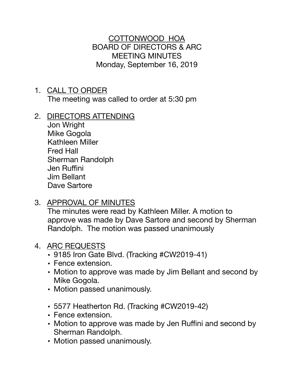COTTONWOOD HOA BOARD OF DIRECTORS & ARC MEETING MINUTES Monday, September 16, 2019

- 1. CALL TO ORDER The meeting was called to order at 5:30 pm
- 2. DIRECTORS ATTENDING

Jon Wright Mike Gogola Kathleen Miller Fred Hall Sherman Randolph Jen Ruffini Jim Bellant Dave Sartore

3. APPROVAL OF MINUTES

The minutes were read by Kathleen Miller. A motion to approve was made by Dave Sartore and second by Sherman Randolph. The motion was passed unanimously

## 4. ARC REQUESTS

- 9185 Iron Gate Blvd. (Tracking #CW2019-41)
- Fence extension.
- Motion to approve was made by Jim Bellant and second by Mike Gogola.
- Motion passed unanimously.
- 5577 Heatherton Rd. (Tracking #CW2019-42)
- Fence extension.
- Motion to approve was made by Jen Ruffini and second by Sherman Randolph.
- Motion passed unanimously.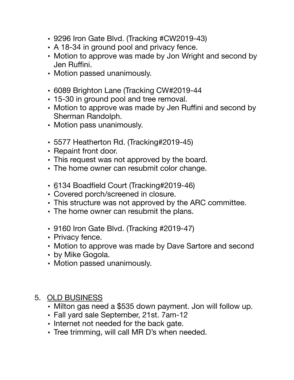- 9296 Iron Gate Blvd. (Tracking #CW2019-43)
- A 18-34 in ground pool and privacy fence.
- Motion to approve was made by Jon Wright and second by Jen Ruffini.
- Motion passed unanimously.
- 6089 Brighton Lane (Tracking CW#2019-44
- 15-30 in ground pool and tree removal.
- Motion to approve was made by Jen Ruffini and second by Sherman Randolph.
- Motion pass unanimously.
- 5577 Heatherton Rd. (Tracking#2019-45)
- Repaint front door.
- This request was not approved by the board.
- The home owner can resubmit color change.
- 6134 Boadfield Court (Tracking#2019-46)
- Covered porch/screened in closure.
- This structure was not approved by the ARC committee.
- The home owner can resubmit the plans.
- 9160 Iron Gate Blvd. (Tracking #2019-47)
- Privacy fence.
- Motion to approve was made by Dave Sartore and second
- by Mike Gogola.
- Motion passed unanimously.

## 5. OLD BUSINESS

- Milton gas need a \$535 down payment. Jon will follow up.
- Fall yard sale September, 21st. 7am-12
- Internet not needed for the back gate.
- Tree trimming, will call MR D's when needed.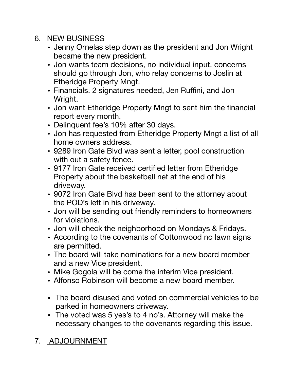## 6. NEW BUSINESS

- Jenny Ornelas step down as the president and Jon Wright became the new president.
- Jon wants team decisions, no individual input. concerns should go through Jon, who relay concerns to Joslin at Etheridge Property Mngt.
- Financials. 2 signatures needed, Jen Ruffini, and Jon Wright.
- Jon want Etheridge Property Mngt to sent him the financial report every month.
- Delinquent fee's 10% after 30 days.
- Jon has requested from Etheridge Property Mngt a list of all home owners address.
- 9289 Iron Gate Blvd was sent a letter, pool construction with out a safety fence.
- 9177 Iron Gate received certified letter from Etheridge Property about the basketball net at the end of his driveway.
- 9072 Iron Gate Blvd has been sent to the attorney about the POD's left in his driveway.
- Jon will be sending out friendly reminders to homeowners for violations.
- Jon will check the neighborhood on Mondays & Fridays.
- According to the covenants of Cottonwood no lawn signs are permitted.
- The board will take nominations for a new board member and a new Vice president.
- Mike Gogola will be come the interim Vice president.
- Alfonso Robinson will become a new board member.
- The board disused and voted on commercial vehicles to be parked in homeowners driveway.
- The voted was 5 yes's to 4 no's. Attorney will make the necessary changes to the covenants regarding this issue.

## 7. ADJOURNMENT